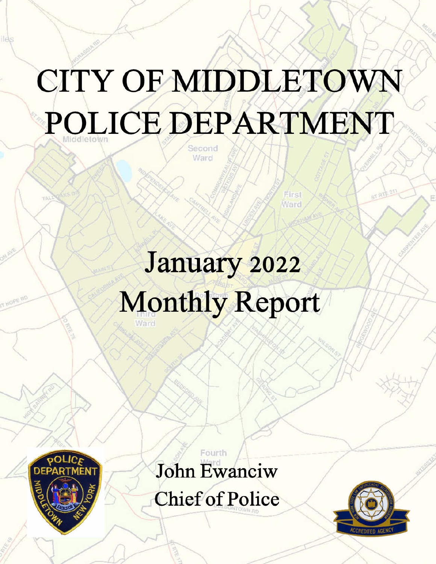# CITY OF MIDDLETOWN POLICE DEPARTMENT

January 2022 **Monthly Report** 



**Ilè**s

John Ewanciw

Fourth

**Chief of Police** 

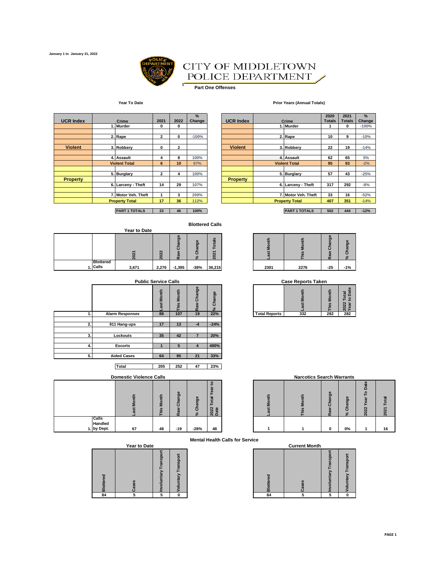

#### CITY OF MIDDLETOWN POLICE DEPARTMENT Í

 $\blacksquare$ **Part One Offenses**

#### **Year To Date Prior Years (Annual Totals)**

| <b>UCR Index</b> | Crime                 | 2021           | 2022           | %<br>Change | <b>UCR Index</b> | Crime                 | 2020<br><b>Totals</b> | 2021<br><b>Totals</b> |
|------------------|-----------------------|----------------|----------------|-------------|------------------|-----------------------|-----------------------|-----------------------|
|                  | 1. Murder             | 0              | 0              |             |                  | 1. Murder             |                       | 0                     |
|                  | 2. Rape               | $\mathbf{2}$   | 0              | $-100%$     |                  | 2. Rape               | 10                    | 9                     |
| <b>Violent</b>   | 3. Robbery            | 0              | $\overline{2}$ |             | <b>Violent</b>   | 3. Robbery            | 22                    | 19                    |
|                  | 4. Assault            | 4              | 8              | 100%        |                  | 4. Assault            | 62                    | 65                    |
|                  | <b>Violent Total</b>  | 6              | 10             | 67%         |                  | <b>Violent Total</b>  | 95                    | 93                    |
|                  | 5. Burglary           | $\overline{2}$ | 4              | 100%        |                  | 5. Burglary           | 57                    | 43                    |
| <b>Property</b>  |                       |                |                |             | <b>Property</b>  |                       |                       |                       |
|                  | 6. Larceny - Theft    | 14             | 29             | 107%        |                  | 6. Larceny - Theft    | 317                   | 292                   |
|                  | 7. Motor Veh. Theft   |                | 3              | 200%        |                  | 7. Motor Veh. Theft   | 33                    | 16                    |
|                  | <b>Property Total</b> | 17             | 36             | 112%        |                  | <b>Property Total</b> | 407                   | 351                   |

| <b>Violent</b> |                       | 3. Robberv           | 0            | $\overline{ }$<br>∠ |      | <b>Violent</b>  |                      | 3. Robberv            | 22  | 19  | $-14%$ |
|----------------|-----------------------|----------------------|--------------|---------------------|------|-----------------|----------------------|-----------------------|-----|-----|--------|
|                |                       |                      |              |                     |      |                 |                      |                       |     |     |        |
|                |                       | 4. Assault           | 4            | 8                   | 100% |                 |                      | 4. Assault            | 62  | 65  | 5%     |
|                |                       | <b>Violent Total</b> | 6            | 10 <sup>1</sup>     | 67%  |                 | <b>Violent Total</b> |                       | 95  | 93  | $-2%$  |
|                |                       |                      |              |                     |      |                 |                      |                       |     |     |        |
|                |                       | 5. Burglary          | $\mathbf{2}$ |                     | 100% |                 |                      | 5. Burglary           | 57  | 43  | $-25%$ |
| Property       |                       |                      |              |                     |      | <b>Property</b> |                      |                       |     |     |        |
|                |                       | 6. Larceny - Theft   | 14           | 29                  | 107% |                 |                      | 6. Larceny - Theft    | 317 | 292 | $-8%$  |
|                |                       |                      |              |                     |      |                 |                      |                       |     |     |        |
|                |                       | 7. Motor Veh. Theft  |              | ٠                   | 200% |                 |                      | 7. Motor Veh. Theft   | 33  | 16  | $-52%$ |
|                | <b>Property Total</b> |                      | 17           | 36                  | 112% |                 |                      | <b>Property Total</b> | 407 | 351 | $-14%$ |
|                |                       |                      |              |                     |      |                 |                      |                       |     |     |        |

**PART 1 TOTALS 23 46 100% PART 1 TOTALS 502 444 -12%**

#### **Blottered Calls**

|  |                  |              |                       |                  | <b>Blottered Calls</b>                       |                                                        |      |          |                                       |                             |
|--|------------------|--------------|-----------------------|------------------|----------------------------------------------|--------------------------------------------------------|------|----------|---------------------------------------|-----------------------------|
|  |                  | Year to Date |                       |                  |                                              |                                                        |      |          |                                       |                             |
|  |                  | $\sim$       | $\sim$<br>$\sim$<br>c | Ō<br>ō<br>œ<br>œ | $\bullet$<br>Ō<br>$\boldsymbol{\varpi}$<br>ō | S<br>$\overline{a}$<br>с<br>⊢<br>᠇<br>$\sim$<br>ō<br>o |      | $\omega$ | $\omega$<br>Ō<br>π<br>$\epsilon$<br>œ | $\bullet$<br>ō<br>$\approx$ |
|  | <b>Blottered</b> |              |                       |                  |                                              |                                                        |      |          |                                       |                             |
|  | . Calls          | 3,671        | 2,276                 | $-1,395$         | $-38%$                                       | 36,215                                                 | 2301 | 2276     | $-25$                                 | $-1%$                       |

|    | <b>Public Service Calls</b> |                     |             |                                          |               |                      | <b>Case Reports Taken</b> |              |                                  |
|----|-----------------------------|---------------------|-------------|------------------------------------------|---------------|----------------------|---------------------------|--------------|----------------------------------|
|    |                             | <b>Month</b><br>äst | Month<br>۵i | Change<br>⋧<br>$\overline{\mathfrak{a}}$ | Change<br>వ్ౖ |                      | Month<br>ast              | Month<br>his | Total<br>to Date<br>2022<br>Vear |
|    | <b>Alarm Responses</b>      | 88                  | 107         | 19                                       | 22%           | <b>Total Reports</b> | 332                       | 282          | 282                              |
| 2. | 911 Hang-ups                | 17                  | 13          | $-4$                                     | $-24%$        |                      |                           |              |                                  |
| 3. | Lockouts                    | 35                  | 42          |                                          | 20%           |                      |                           |              |                                  |
| 4. | <b>Escorts</b>              |                     | 5           | 4                                        | 400%          |                      |                           |              |                                  |
| 5. | <b>Aided Cases</b>          | 64                  | 85          | 21                                       | 33%           |                      |                           |              |                                  |
|    |                             |                     |             |                                          |               |                      |                           |              |                                  |

**Total 205 252 47 23%**

**Domestic Violence Calls** 

|                  | Montl<br>w | his Month | Change<br>Ra | Change<br>వ్ౖ | e<br>Year<br>Total<br>ate<br>2022<br>Date |
|------------------|------------|-----------|--------------|---------------|-------------------------------------------|
| Calls<br>Handled |            |           |              |               |                                           |
| by Dept.<br>1.   | 67         | 48        | $-19$        | $-28%$        | 48                                        |

| <b>Year to Date</b> |  |  |  |  |  |  |  |  |
|---------------------|--|--|--|--|--|--|--|--|
|                     |  |  |  |  |  |  |  |  |

| <b>Blottered</b> | Cases | on Involuntary Trans | Voluntary Transpo |
|------------------|-------|----------------------|-------------------|
| 84               |       |                      | Ō                 |

**% Change**

|     | $\sim$ | m<br>ත<br>m<br>$\alpha$ | m<br>$\overline{\mathbf{r}}$<br>. a | $\omega$<br>ಹ<br>$\sim$<br>$\overline{a}$ |      |      | ь.<br>æ<br>œ | $\overline{\phantom{a}}$ |  |
|-----|--------|-------------------------|-------------------------------------|-------------------------------------------|------|------|--------------|--------------------------|--|
| 671 | 2,276  | $-1,395$                | $-38%$                              | 36,215                                    | 2301 | 2276 | $-25$        | $-1%$                    |  |

| -<br>. .<br>o<br>ä<br>ത | S<br> |     |                      |     |     |     |  |
|-------------------------|-------|-----|----------------------|-----|-----|-----|--|
| 88                      | 107   | 22% | <b>Total Reports</b> | 332 | 282 | 282 |  |

|                              | <b>Domestic Violence Calls</b> |                                    |                       |          |              | <b>Narcotics Search Warrants</b> |  |             |                  |                  |    |  |
|------------------------------|--------------------------------|------------------------------------|-----------------------|----------|--------------|----------------------------------|--|-------------|------------------|------------------|----|--|
|                              |                                | ≂<br>e<br>š<br>$\overline{\omega}$ | Ф<br>Ō<br>ಹ<br>ō<br>ದ | န္တ<br>ō | 2022<br>Date |                                  |  | ఙ<br>ō<br>œ | ω<br>ō<br>œ<br>ō | m<br>o<br>ನ<br>N |    |  |
| Calls<br>Handled<br>by Dept. | 67                             | 48                                 | $-19$                 | $-28%$   | 48           |                                  |  | 0           | 0%               |                  | 16 |  |

**Mental Health Calls for Service**

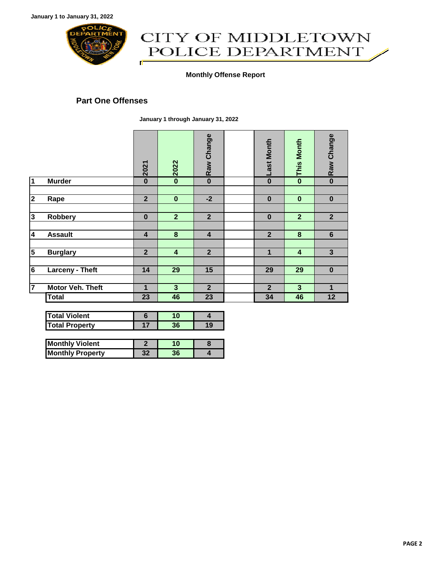

# CITY OF MIDDLETOWN POLICE DEPARTMENT ſ

#### **Monthly Offense Report**

### **Part One Offenses**

**January 1 through January 31, 2022**

|                         | 2021                    | 2022                    | Raw Change     | <b>Last Month</b> | <b>This Month</b>       | Raw Change              |
|-------------------------|-------------------------|-------------------------|----------------|-------------------|-------------------------|-------------------------|
| <b>Murder</b>           | $\bf{0}$                | $\bf{0}$                | $\bf{0}$       | $\bf{0}$          | $\bf{0}$                | $\bf{0}$                |
|                         |                         |                         |                |                   |                         |                         |
|                         |                         |                         | $-2$           |                   |                         | $\bf{0}$                |
|                         |                         |                         |                |                   |                         |                         |
| <b>Robbery</b>          | $\bf{0}$                | $\overline{2}$          | $\overline{2}$ | $\bf{0}$          | $\overline{2}$          | $\overline{2}$          |
|                         |                         |                         |                |                   |                         |                         |
| <b>Assault</b>          | $\overline{\mathbf{4}}$ | 8                       | 4              | $\overline{2}$    | 8                       | $6\phantom{1}$          |
|                         |                         |                         |                |                   |                         |                         |
|                         | $\overline{2}$          | $\overline{\mathbf{4}}$ | $\overline{2}$ | $\mathbf 1$       | $\overline{\mathbf{4}}$ | $\overline{\mathbf{3}}$ |
|                         |                         |                         |                |                   |                         |                         |
| <b>Larceny - Theft</b>  | 14                      | 29                      | 15             | 29                | 29                      | $\bf{0}$                |
|                         |                         |                         |                |                   |                         |                         |
| <b>Motor Veh. Theft</b> | 1                       | 3                       | $\overline{2}$ | $\overline{2}$    | 3                       | 1                       |
| <b>Total</b>            | 23                      | 46                      | 23             | 34                | 46                      | 12                      |
|                         | Rape<br><b>Burglary</b> | $\overline{2}$          | $\bf{0}$       |                   | $\bf{0}$                | $\bf{0}$                |

| <b>Total Violent</b>  |  |  |
|-----------------------|--|--|
| <b>Total Property</b> |  |  |

| <b>Monthly Violent</b>  |  |  |
|-------------------------|--|--|
| <b>Monthly Property</b> |  |  |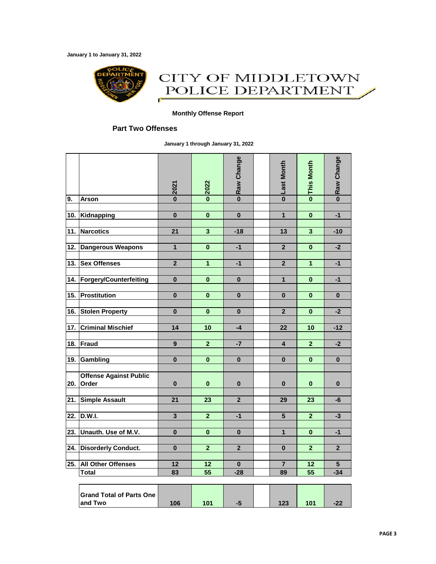**January 1 to January 31, 2022**



## CITY OF MIDDLETOWN POLICE DEPARTMENT ſ

#### **Monthly Offense Report**

#### **Part Two Offenses**

**January 1 through January 31, 2022**

|                   |                                            | 2021                    | 2022                    | Raw Change              | <b>OLast Month</b> | <b>This Month</b>       | Raw Change              |
|-------------------|--------------------------------------------|-------------------------|-------------------------|-------------------------|--------------------|-------------------------|-------------------------|
| 9.                | <b>Arson</b>                               | $\overline{\mathbf{0}}$ | $\overline{\mathbf{0}}$ | $\overline{\mathbf{0}}$ |                    | $\overline{\mathbf{0}}$ | $\overline{\mathbf{0}}$ |
|                   |                                            | $\overline{\mathbf{0}}$ | $\overline{\mathbf{0}}$ | $\overline{\mathbf{0}}$ | $\overline{1}$     | $\overline{\mathbf{0}}$ | $-1$                    |
| 10.               | Kidnapping                                 |                         |                         |                         |                    |                         |                         |
| 11.               | <b>Narcotics</b>                           | $\overline{21}$         | $\overline{\mathbf{3}}$ | $-18$                   | 13                 | $\overline{\mathbf{3}}$ | $-10$                   |
|                   |                                            |                         |                         |                         |                    |                         |                         |
| 12.               | <b>Dangerous Weapons</b>                   | $\mathbf{1}$            | $\bf{0}$                | $-1$                    | $\mathbf{2}$       | $\bf{0}$                | $-2$                    |
|                   | 13. Sex Offenses                           | $\overline{\mathbf{2}}$ | 1                       | $-1$                    | $\overline{2}$     | 1                       | $-1$                    |
|                   |                                            |                         |                         |                         |                    |                         |                         |
| 14.               | <b>Forgery/Counterfeiting</b>              | $\bf{0}$                | $\bf{0}$                | $\bf{0}$                | $\mathbf{1}$       | $\bf{0}$                | $-1$                    |
|                   |                                            |                         |                         |                         |                    |                         |                         |
| $\overline{15}$ . | Prostitution                               | $\bf{0}$                | $\mathbf{0}$            | $\mathbf{0}$            | $\bf{0}$           | $\bf{0}$                | $\mathbf{0}$            |
| 16.               | <b>Stolen Property</b>                     | 0                       | $\bf{0}$                | $\bf{0}$                | $\overline{2}$     | $\bf{0}$                | $-2$                    |
|                   |                                            |                         |                         |                         |                    |                         |                         |
| 17.               | <b>Criminal Mischief</b>                   | 14                      | 10                      | $-4$                    | 22                 | 10                      | $-12$                   |
|                   |                                            |                         |                         |                         |                    |                         |                         |
| 18.               | <b>Fraud</b>                               | 9                       | $\overline{2}$          | $-7$                    | 4                  | $\overline{2}$          | $-2$                    |
| 19.               | Gambling                                   | 0                       | $\mathbf 0$             | $\bf{0}$                | 0                  | $\bf{0}$                | $\bf{0}$                |
|                   |                                            |                         |                         |                         |                    |                         |                         |
| 20.               | <b>Offense Against Public</b><br>Order     | $\bf{0}$                | $\bf{0}$                | $\bf{0}$                | $\bf{0}$           | $\bf{0}$                | $\bf{0}$                |
| 21.               | <b>Simple Assault</b>                      | 21                      | $\overline{23}$         | $\overline{2}$          | 29                 | 23                      | -6                      |
|                   |                                            |                         |                         |                         |                    |                         |                         |
| 22.               | <b>D.W.I.</b>                              | 3                       | $\overline{2}$          | $-1$                    | 5                  | $\overline{2}$          | $-3$                    |
|                   |                                            |                         |                         |                         |                    |                         |                         |
| 23.               | Unauth. Use of M.V.                        | $\bf{0}$                | $\bf{0}$                | $\bf{0}$                | $\mathbf{1}$       | $\bf{0}$                | $-1$                    |
|                   |                                            | $\bf{0}$                | $\overline{2}$          | $\overline{2}$          |                    | $\overline{2}$          | $\overline{2}$          |
| 24.               | <b>Disorderly Conduct.</b>                 |                         |                         |                         | $\bf{0}$           |                         |                         |
| 25.               | <b>All Other Offenses</b>                  | 12                      | 12                      | $\bf{0}$                | $\overline{7}$     | 12                      | 5                       |
|                   | <b>Total</b>                               | 83                      | 55                      | $-28$                   | 89                 | 55                      | $-34$                   |
|                   |                                            |                         |                         |                         |                    |                         |                         |
|                   | <b>Grand Total of Parts One</b><br>and Two | 106                     | 101                     | -5                      | 123                | 101                     | $-22$                   |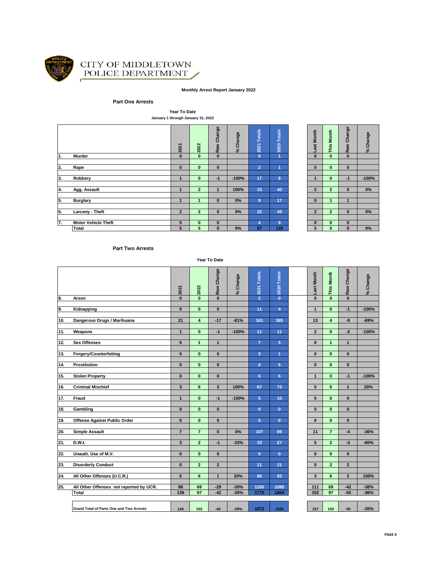

#### CITY OF MIDDLETOWN POLICE DEPARTMENT Í

#### **Monthly Arrest Report January 2022**

#### **Part One Arrests**

**Year To Date January 1 through January 31, 2022**

|                  |                            | 2021           | 2022           | Change<br>Raw | % Change | <b>Totals</b><br>2021 | 2020 Totals    | Month<br>ast   | <b>Month</b><br>This | Change<br>Raw | Change<br>$\mathcal{S}^{\mathsf{c}}$ |
|------------------|----------------------------|----------------|----------------|---------------|----------|-----------------------|----------------|----------------|----------------------|---------------|--------------------------------------|
| 1.               | Murder                     | $\bf{0}$       | $\mathbf{0}$   | $\mathbf{0}$  |          | $\mathbf{0}$          | $\overline{1}$ | $\bf{0}$       | $\mathbf{0}$         | $\bf{0}$      |                                      |
|                  |                            |                |                |               |          |                       |                |                |                      |               |                                      |
| $\overline{2}$ . | Rape                       | $\bf{0}$       | $\mathbf{0}$   | $\mathbf{0}$  |          | $\overline{2}$        | 1              | $\bf{0}$       | $\mathbf{0}$         | $\bf{0}$      |                                      |
|                  |                            |                |                |               |          |                       |                |                |                      |               |                                      |
| 3.               | Robbery                    |                | $\bf{0}$       | $-1$          | $-100%$  | 17                    | 8              |                | $\bf{0}$             | $-1$          | $-100%$                              |
|                  |                            |                |                |               |          |                       |                |                |                      |               |                                      |
| 4.               | Agg. Assault               |                | $\overline{2}$ | 1             | 100%     | 33                    | 40             | $\overline{2}$ | $\overline{2}$       | $\bf{0}$      | $0\%$                                |
|                  |                            |                |                |               |          |                       |                |                |                      |               |                                      |
| 5.               | <b>Burglary</b>            |                |                | $\bf{0}$      | 0%       | $\overline{9}$        | 17             | $\bf{0}$       | 1.                   | $\mathbf{1}$  |                                      |
|                  |                            |                |                |               |          |                       |                |                |                      |               |                                      |
| 6.               | Larceny - Theft            | $\overline{2}$ | $\overline{2}$ | $\bf{0}$      | 0%       | 32                    | 49             | $\overline{2}$ | $\overline{2}$       | $\bf{0}$      | $0\%$                                |
|                  |                            |                |                |               |          |                       |                |                |                      |               |                                      |
| 7.               | <b>Motor Vehicle Theft</b> | $\bf{0}$       | $\bf{0}$       | $\bf{0}$      |          | 4                     | $\overline{9}$ | $\bf{0}$       | $\bf{0}$             | $\bf{0}$      |                                      |
|                  | Total                      | 5              | 5              | $\mathbf{0}$  | 0%       | 97                    | 125            | 5              | 5                    | $\bf{0}$      | $0\%$                                |

| o Last Month   | o This Month   | o Raw Change            | % Change |
|----------------|----------------|-------------------------|----------|
|                |                |                         |          |
|                |                |                         |          |
| $\bf{0}$       | 0              | $\overline{\mathbf{0}}$ |          |
|                |                |                         |          |
| 1              | $\mathbf{0}$   | $-1$                    | $-100%$  |
|                |                |                         |          |
| $\overline{2}$ | $\overline{a}$ | 0                       | 0%       |
|                |                |                         |          |
| $\bf{0}$       | 1              | 1                       |          |
|                |                |                         |          |
| $\overline{2}$ | $\overline{2}$ | 0                       | 0%       |
|                |                |                         |          |
| 0              | O              | $\overline{\mathbf{0}}$ |          |
| 5              | 5              | $\overline{\mathbf{0}}$ | 0%       |

#### **Part Two Arrests**

**Year To Date**

|     |                                          | 2021                    | 2022                    | Raw Change              | % Change | 2021 Totals    | 2020 Totals    | Last Month     | This Month              | Raw Change              | % Change |
|-----|------------------------------------------|-------------------------|-------------------------|-------------------------|----------|----------------|----------------|----------------|-------------------------|-------------------------|----------|
| 8.  | Arson                                    | $\bf{0}$                | $\mathbf{0}$            | $\bf{0}$                |          | $\overline{2}$ | $\mathbf{0}$   | $\mathbf{0}$   | $\mathbf{0}$            | $\mathbf{0}$            |          |
|     |                                          |                         |                         |                         |          |                |                |                |                         |                         |          |
| 9.  | Kidnapping                               | $\bf{0}$                | $\mathbf{0}$            | $\bf{0}$                |          | 11             | $\overline{4}$ | $\mathbf{1}$   | $\mathbf{0}$            | $-1$                    | $-100%$  |
|     |                                          |                         |                         |                         |          |                |                |                |                         |                         |          |
| 10. | Dangerous Drugs / Marihuana              | 21                      | $\overline{\mathbf{4}}$ | $-17$                   | $-81%$   | 161            | 385            | 13             | $\overline{\mathbf{4}}$ | -9                      | $-69%$   |
|     |                                          |                         |                         |                         |          |                |                |                |                         |                         |          |
| 11. | Weapons                                  | $\mathbf{1}$            | $\mathbf{0}$            | $-1$                    | $-100%$  | 11             | 11             | $\overline{2}$ | $\mathbf{0}$            | $-2$                    | $-100%$  |
| 12. | <b>Sex Offenses</b>                      | $\mathbf{0}$            | $\mathbf{1}$            | $\mathbf{1}$            |          | $\overline{7}$ | $\overline{5}$ | $\pmb{0}$      | $\mathbf{1}$            | $\mathbf{1}$            |          |
|     |                                          |                         |                         |                         |          |                |                |                |                         |                         |          |
| 13. | <b>Forgery/Counterfeiting</b>            | $\mathbf{0}$            | $\mathbf{0}$            | $\bf{0}$                |          | $\overline{3}$ | 1              | $\mathbf{0}$   | $\mathbf{0}$            | $\mathbf{0}$            |          |
|     |                                          |                         |                         |                         |          |                |                |                |                         |                         |          |
| 14. | Prostitution                             | $\bf{0}$                | $\mathbf{0}$            | $\bf{0}$                |          | $\mathbf{0}$   | 5              | $\mathbf{0}$   | $\mathbf{0}$            | $\bf{0}$                |          |
|     |                                          |                         |                         |                         |          |                |                |                |                         |                         |          |
| 15. | <b>Stolen Property</b>                   | $\mathbf{0}$            | $\mathbf{0}$            | $\bf{0}$                |          | 6              | 6              | $\mathbf{1}$   | $\mathbf{0}$            | $-1$                    | $-100%$  |
|     |                                          |                         |                         |                         |          |                |                |                |                         |                         |          |
| 16. | <b>Criminal Mischief</b>                 | $\overline{\mathbf{3}}$ | 6                       | $\overline{\mathbf{3}}$ | 100%     | 67             | 73             | 5              | 6                       | $\mathbf{1}$            | 20%      |
|     |                                          |                         |                         |                         |          |                |                |                |                         |                         |          |
| 17. | Fraud                                    | $\mathbf{1}$            | $\mathbf{0}$            | $-1$                    | $-100%$  | 5              | 10             | $\mathbf{0}$   | $\mathbf{0}$            | $\bf{0}$                |          |
|     |                                          |                         |                         |                         |          |                |                |                |                         |                         |          |
| 18. | Gambling                                 | $\mathbf{0}$            | $\mathbf{0}$            | $\bf{0}$                |          | $\mathbf{0}$   | $\mathbf{0}$   | $\bf{0}$       | $\mathbf{0}$            | $\mathbf{0}$            |          |
|     |                                          |                         |                         |                         |          |                |                |                |                         |                         |          |
| 19. | Offense Against Public Order             | $\mathbf{0}$            | $\mathbf{0}$            | $\bf{0}$                |          | $\mathbf{0}$   | $\mathbf{0}$   | $\mathbf{0}$   | $\mathbf{0}$            | $\mathbf{0}$            |          |
| 20. | <b>Simple Assault</b>                    | $\overline{7}$          | $\overline{7}$          | $\bf{0}$                | 0%       | 107            | 89             | 11             | $\overline{7}$          | $-4$                    | $-36%$   |
|     |                                          |                         |                         |                         |          |                |                |                |                         |                         |          |
| 21. | D.W.I.                                   | $\overline{\mathbf{3}}$ | $\mathbf{2}$            | $-1$                    | $-33%$   | 33             | 27             | 5              | $\overline{2}$          | $-3$                    | $-60%$   |
|     |                                          |                         |                         |                         |          |                |                |                |                         |                         |          |
| 22. | Unauth. Use of M.V.                      | $\bf{0}$                | $\mathbf{0}$            | $\bf{0}$                |          | $\mathbf{0}$   | $\mathbf{0}$   | $\mathbf{0}$   | $\mathbf{0}$            | $\mathbf{0}$            |          |
|     |                                          |                         |                         |                         |          |                |                |                |                         |                         |          |
| 23. | <b>Disorderly Conduct</b>                | $\mathbf{0}$            | $\overline{2}$          | $\overline{2}$          |          | 11             | 21             | $\bf{0}$       | $\overline{2}$          | $\overline{2}$          |          |
|     |                                          |                         |                         |                         |          |                |                |                |                         |                         |          |
| 24. | All Other Offenses (U.C.R.)              | 5                       | 6                       | $\overline{1}$          | 20%      | 86             | 82             | 3              | 6                       | $\overline{\mathbf{3}}$ | 100%     |
|     |                                          |                         |                         |                         |          |                |                |                |                         |                         |          |
| 25. | All Other Offenses not reported by UCR.  | 98                      | 69                      | $-29$                   | $-30%$   | 1265           | 1085           | 111            | 69                      | $-42$                   | $-38%$   |
|     | <b>Total</b>                             | 139                     | 97                      | $-42$                   | $-30%$   | 1775           | 1804           | 152            | 97                      | $-55$                   | $-36%$   |
|     |                                          |                         |                         |                         |          |                |                |                |                         |                         |          |
|     |                                          |                         |                         |                         |          |                |                |                |                         |                         |          |
|     | Grand Total of Parts One and Two Arrests | 144                     | 102                     | $-42$                   | $-29%$   | 1872           | 1929           | 157            | 102                     | $-55$                   | $-35%$   |